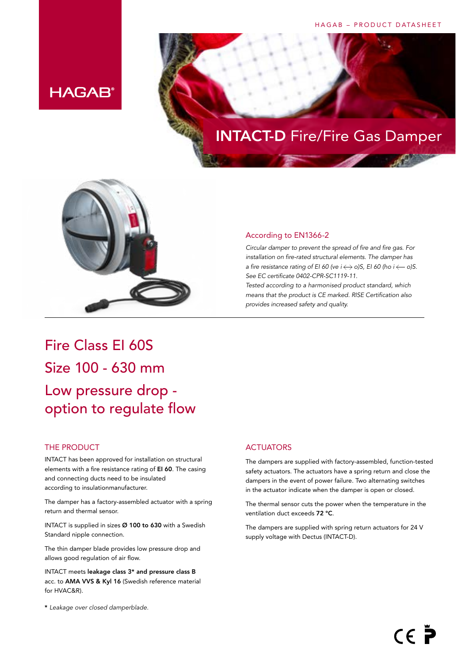#### HAGAB – PRODUCT DATASHEET



## INTACT-D Fire/Fire Gas Damper



#### According to EN1366-2

*Circular damper to prevent the spread of fire and fire gas. For installation on fire-rated structural elements. The damper has a fire resistance rating of EI 60 (ve i*  $\leftrightarrow$  *o)S, EI 60 (ho i*  $\leftarrow$  *o)S. See EC certificate 0402-CPR-SC1119-11.* 

*Tested according to a harmonised product standard, which means that the product is CE marked. RISE Certification also provides increased safety and quality.*

## Fire Class EI 60S Size 100 - 630 mm Low pressure drop option to regulate flow

#### THE PRODUCT

INTACT has been approved for installation on structural elements with a fire resistance rating of EI 60. The casing and connecting ducts need to be insulated according to insulationmanufacturer.

The damper has a factory-assembled actuator with a spring return and thermal sensor.

INTACT is supplied in sizes Ø 100 to 630 with a Swedish Standard nipple connection.

The thin damper blade provides low pressure drop and allows good regulation of air flow.

INTACT meets leakage class 3\* and pressure class B acc. to AMA VVS & Kyl 16 (Swedish reference material for HVAC&R).

#### \* *Leakage over closed damperblade.*

#### **ACTUATORS**

The dampers are supplied with factory-assembled, function-tested safety actuators. The actuators have a spring return and close the dampers in the event of power failure. Two alternating switches in the actuator indicate when the damper is open or closed.

The thermal sensor cuts the power when the temperature in the ventilation duct exceeds 72 °C.

The dampers are supplied with spring return actuators for 24 V supply voltage with Dectus (INTACT-D).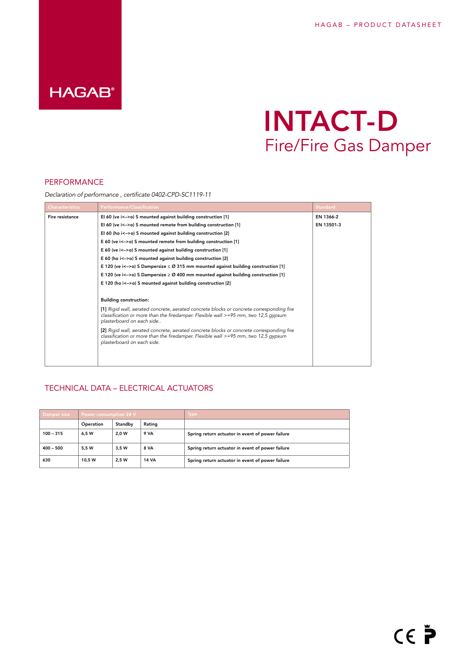## **HAGAB®**

# INTACT-D Fire/Fire Gas Damper

#### PERFORMANCE

*Declaration of performance , certificate 0402-CPD-SC1119-11*

| <b>Characteristics</b> | <b>Performance/Classification</b>                                                                                                                                                                                | <b>Standard</b> |
|------------------------|------------------------------------------------------------------------------------------------------------------------------------------------------------------------------------------------------------------|-----------------|
| Fire resistance        | El 60 (ve $i \leq -\infty$ ) S mounted against building construction [1]                                                                                                                                         | EN 1366-2       |
|                        | El 60 (ve $i < -\infty$ ) S mounted remote from building construction [1]                                                                                                                                        | EN 13501-3      |
|                        | El 60 (ho $i$ <->o) S mounted against building construction [2]                                                                                                                                                  |                 |
|                        | E 60 (ve i<->o) S mounted remote from building construction [1]                                                                                                                                                  |                 |
|                        | E 60 (ve i<->o) S mounted against building construction [1]                                                                                                                                                      |                 |
|                        | E 60 (ho i<->o) S mounted against building construction [2]                                                                                                                                                      |                 |
|                        | E 120 (ve i<->o) S Dampersize $\leq$ 20 315 mm mounted against building construction [1]                                                                                                                         |                 |
|                        | E 120 (ve i<->o) S Dampersize $\geq$ Ø 400 mm mounted against building construction [1]                                                                                                                          |                 |
|                        | E 120 (ho i<->o) S mounted against building construction [2]                                                                                                                                                     |                 |
|                        |                                                                                                                                                                                                                  |                 |
|                        | <b>Building construction:</b>                                                                                                                                                                                    |                 |
|                        | [1] Rigid wall, aerated concrete, aerated concrete blocks or concrete corresponding fire<br>classification or more than the firedamper. Flexible wall $\ge$ =95 mm, two 12,5 qypsum<br>plasterboard on each side |                 |
|                        | [2] Rigid wall, aerated concrete, aerated concrete blocks or concrete corresponding fire<br>classification or more than the firedamper. Flexible wall $>=$ 95 mm, two 12,5 gypsum<br>plasterboard on each side.  |                 |
|                        |                                                                                                                                                                                                                  |                 |

#### TECHNICAL DATA – ELECTRICAL ACTUATORS

| Damper size | Power consumption 24 V |         |              | <b>Type</b>                                      |
|-------------|------------------------|---------|--------------|--------------------------------------------------|
|             | Operation              | Standby | Rating       |                                                  |
| $100 - 315$ | 6.5 W                  | 2.0 W   | 9 VA         | Spring return actuator in event of power failure |
| $400 - 500$ | 5.5 W                  | 3.5 W   | 8 VA         | Spring return actuator in event of power failure |
| 630         | 10.5 W                 | 2.5 W   | <b>14 VA</b> | Spring return actuator in event of power failure |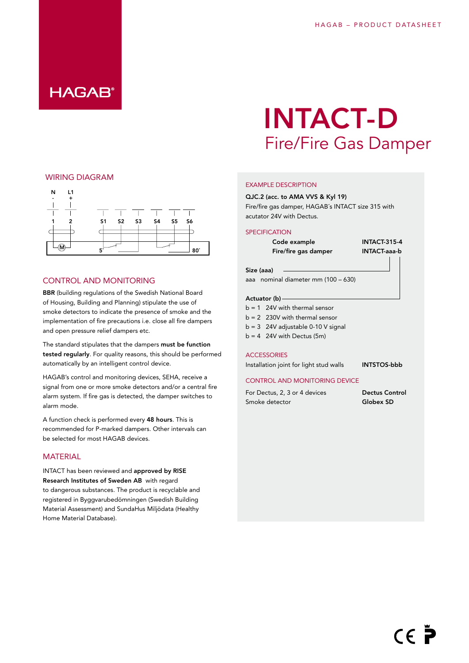## **HAGAB®**

### WIRING DIAGRAM



#### CONTROL AND MONITORING

BBR (building regulations of the Swedish National Board of Housing, Building and Planning) stipulate the use of smoke detectors to indicate the presence of smoke and the implementation of fire precautions i.e. close all fire dampers and open pressure relief dampers etc.

The standard stipulates that the dampers must be function tested regularly. For quality reasons, this should be performed automatically by an intelligent control device.

HAGAB's control and monitoring devices, SEHA, receive a signal from one or more smoke detectors and/or a central fire alarm system. If fire gas is detected, the damper switches to alarm mode.

A function check is performed every 48 hours. This is recommended for P-marked dampers. Other intervals can be selected for most HAGAB devices.

#### **MATERIAL**

INTACT has been reviewed and approved by RISE Research Institutes of Sweden AB with regard to dangerous substances. The product is recyclable and registered in Byggvarubedömningen (Swedish Building Material Assessment) and SundaHus Miljödata (Healthy Home Material Database).

# INTACT-D Fire/Fire Gas Damper

#### EXAMPLE DESCRIPTION

#### QJC.2 (acc. to AMA VVS & Kyl 19)

Fire/fire gas damper, HAGAB´s INTACT size 315 with acutator 24V with Dectus.

#### **SPECIFICATION**

Code example **INTACT-315-4** Fire/fire gas damper **INTACT-aaa-b** 

aaa nominal diameter mm (100 – 630)

#### Actuator (b)

Size (aaa)

- $b = 1$  24V with thermal sensor
- b = 2 230V with thermal sensor
- $b = 3$  24V adjustable 0-10 V signal
- $b = 4$  24V with Dectus (5m)

#### **ACCESSORIES**

Installation joint for light stud walls INTSTOS-bbb

#### CONTROL AND MONITORING DEVICE

For Dectus, 2, 3 or 4 devices Dectus Control Smoke detector Globex SD